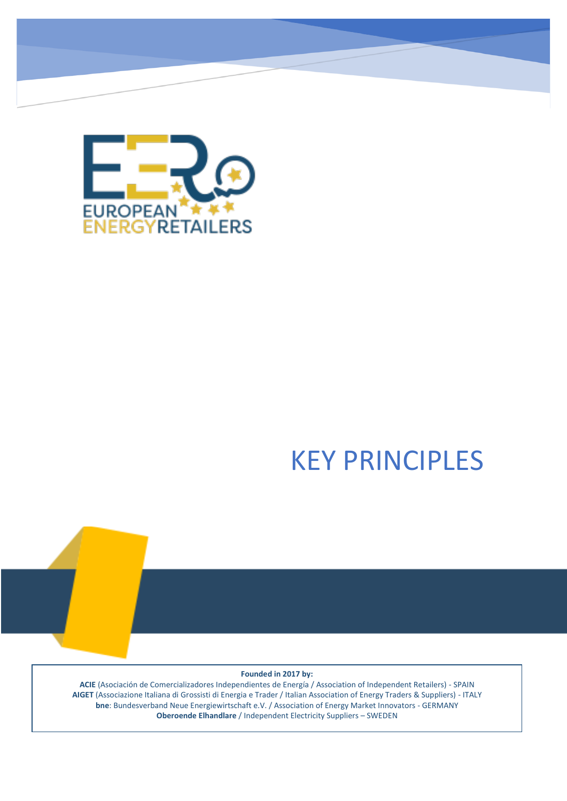

# KEY PRINCIPLES

#### **Founded in 2017 by:**

**ACIE** (Asociación de Comercializadores Independientes de Energía / Association of Independent Retailers) - SPAIN **AIGET** (Associazione Italiana di Grossisti di Energia e Trader / Italian Association of Energy Traders & Suppliers) - ITALY **bne**: Bundesverband Neue Energiewirtschaft e.V. / Association of Energy Market Innovators - GERMANY **Oberoende Elhandlare** / Independent Electricity Suppliers – SWEDEN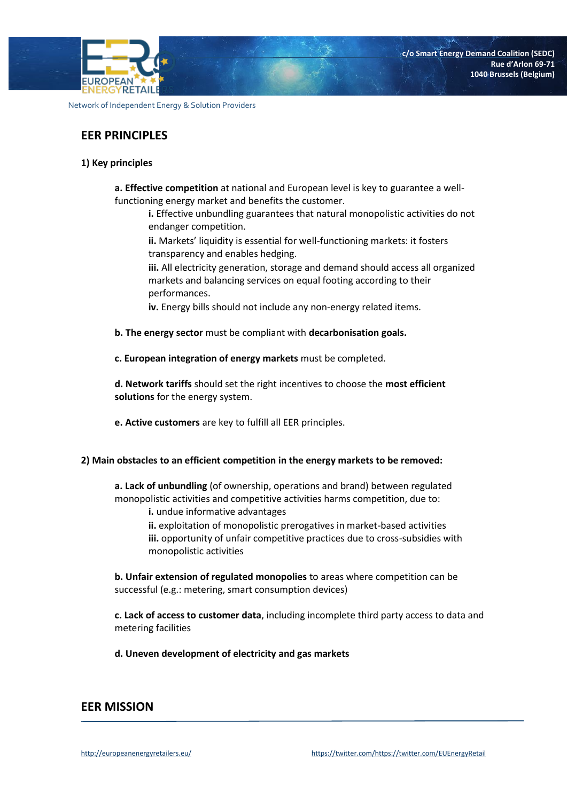

# **EER PRINCIPLES**

## **1) Key principles**

**a. Effective competition** at national and European level is key to guarantee a wellfunctioning energy market and benefits the customer.

**i.** Effective unbundling guarantees that natural monopolistic activities do not endanger competition.

**ii.** Markets' liquidity is essential for well-functioning markets: it fosters transparency and enables hedging.

**iii.** All electricity generation, storage and demand should access all organized markets and balancing services on equal footing according to their performances.

**iv.** Energy bills should not include any non-energy related items.

- **b. The energy sector** must be compliant with **decarbonisation goals.**
- **c. European integration of energy markets** must be completed.

**d. Network tariffs** should set the right incentives to choose the **most efficient solutions** for the energy system.

**e. Active customers** are key to fulfill all EER principles.

#### **2) Main obstacles to an efficient competition in the energy markets to be removed:**

**a. Lack of unbundling** (of ownership, operations and brand) between regulated monopolistic activities and competitive activities harms competition, due to:

**i.** undue informative advantages

**ii.** exploitation of monopolistic prerogatives in market-based activities **iii.** opportunity of unfair competitive practices due to cross-subsidies with monopolistic activities

**b. Unfair extension of regulated monopolies** to areas where competition can be successful (e.g.: metering, smart consumption devices)

**c. Lack of access to customer data**, including incomplete third party access to data and metering facilities

**d. Uneven development of electricity and gas markets** 

## **EER MISSION**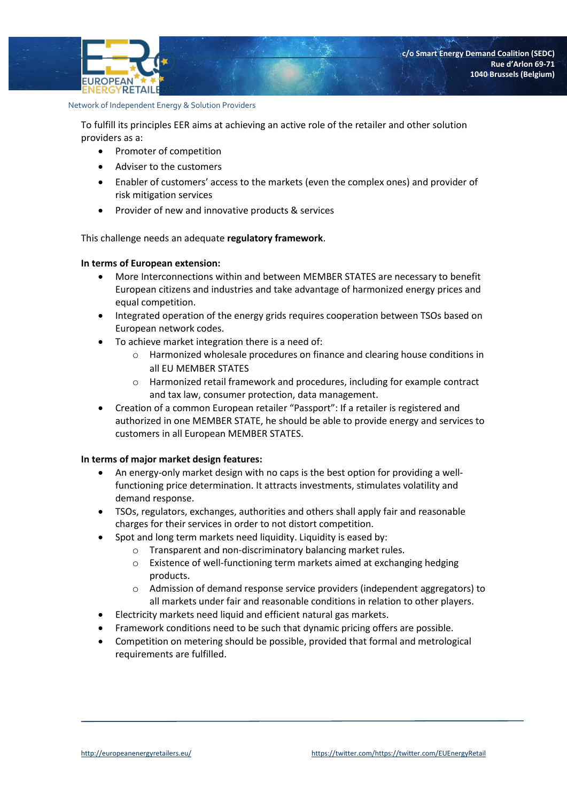**EUROPEAN** ENERGYRETAIL

To fulfill its principles EER aims at achieving an active role of the retailer and other solution providers as a:

- Promoter of competition
- Adviser to the customers
- Enabler of customers' access to the markets (even the complex ones) and provider of risk mitigation services
- Provider of new and innovative products & services

This challenge needs an adequate **regulatory framework**.

#### **In terms of European extension:**

- More Interconnections within and between MEMBER STATES are necessary to benefit European citizens and industries and take advantage of harmonized energy prices and equal competition.
- Integrated operation of the energy grids requires cooperation between TSOs based on European network codes.
- To achieve market integration there is a need of:
	- o Harmonized wholesale procedures on finance and clearing house conditions in all EU MEMBER STATES
	- o Harmonized retail framework and procedures, including for example contract and tax law, consumer protection, data management.
- Creation of a common European retailer "Passport": If a retailer is registered and authorized in one MEMBER STATE, he should be able to provide energy and services to customers in all European MEMBER STATES.

#### **In terms of major market design features:**

- An energy-only market design with no caps is the best option for providing a wellfunctioning price determination. It attracts investments, stimulates volatility and demand response.
- TSOs, regulators, exchanges, authorities and others shall apply fair and reasonable charges for their services in order to not distort competition.
- Spot and long term markets need liquidity. Liquidity is eased by:
	- o Transparent and non-discriminatory balancing market rules.
	- o Existence of well-functioning term markets aimed at exchanging hedging products.
	- $\circ$  Admission of demand response service providers (independent aggregators) to all markets under fair and reasonable conditions in relation to other players.
- Electricity markets need liquid and efficient natural gas markets.
- Framework conditions need to be such that dynamic pricing offers are possible.
- Competition on metering should be possible, provided that formal and metrological requirements are fulfilled.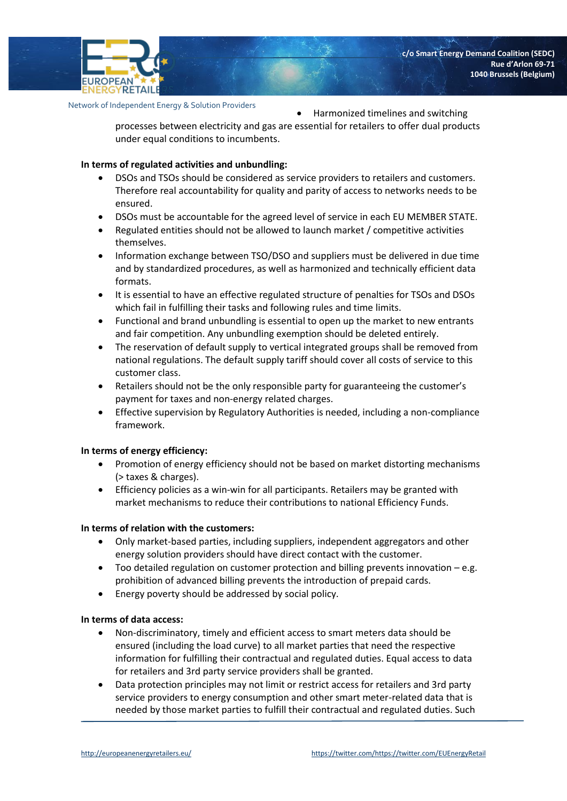

Harmonized timelines and switching

processes between electricity and gas are essential for retailers to offer dual products under equal conditions to incumbents.

## **In terms of regulated activities and unbundling:**

- DSOs and TSOs should be considered as service providers to retailers and customers. Therefore real accountability for quality and parity of access to networks needs to be ensured.
- DSOs must be accountable for the agreed level of service in each EU MEMBER STATE.
- Regulated entities should not be allowed to launch market / competitive activities themselves.
- Information exchange between TSO/DSO and suppliers must be delivered in due time and by standardized procedures, as well as harmonized and technically efficient data formats.
- It is essential to have an effective regulated structure of penalties for TSOs and DSOs which fail in fulfilling their tasks and following rules and time limits.
- Functional and brand unbundling is essential to open up the market to new entrants and fair competition. Any unbundling exemption should be deleted entirely.
- The reservation of default supply to vertical integrated groups shall be removed from national regulations. The default supply tariff should cover all costs of service to this customer class.
- Retailers should not be the only responsible party for guaranteeing the customer's payment for taxes and non-energy related charges.
- Effective supervision by Regulatory Authorities is needed, including a non-compliance framework.

## **In terms of energy efficiency:**

- Promotion of energy efficiency should not be based on market distorting mechanisms (> taxes & charges).
- Efficiency policies as a win-win for all participants. Retailers may be granted with market mechanisms to reduce their contributions to national Efficiency Funds.

## **In terms of relation with the customers:**

- Only market-based parties, including suppliers, independent aggregators and other energy solution providers should have direct contact with the customer.
- Too detailed regulation on customer protection and billing prevents innovation e.g. prohibition of advanced billing prevents the introduction of prepaid cards.
- Energy poverty should be addressed by social policy.

## **In terms of data access:**

- Non-discriminatory, timely and efficient access to smart meters data should be ensured (including the load curve) to all market parties that need the respective information for fulfilling their contractual and regulated duties. Equal access to data for retailers and 3rd party service providers shall be granted.
- Data protection principles may not limit or restrict access for retailers and 3rd party service providers to energy consumption and other smart meter-related data that is needed by those market parties to fulfill their contractual and regulated duties. Such